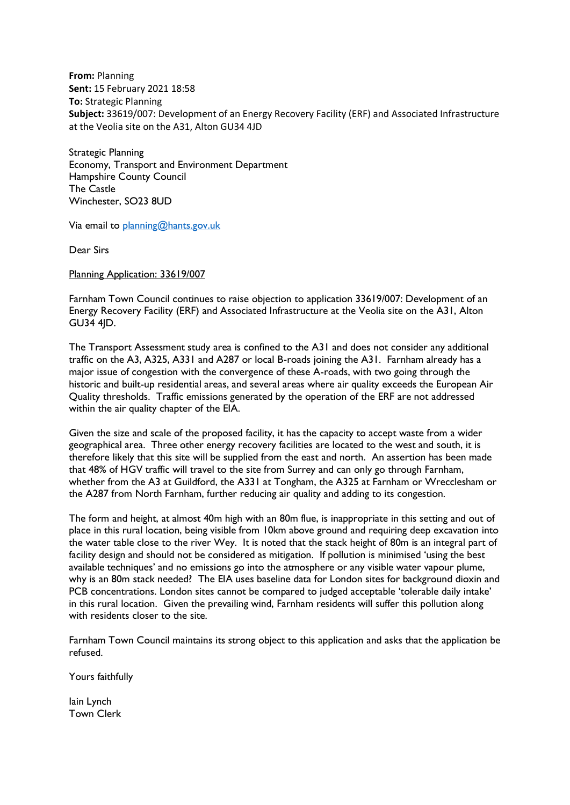**From:** Planning **Sent:** 15 February 2021 18:58 **To:** Strategic Planning **Subject:** 33619/007: Development of an Energy Recovery Facility (ERF) and Associated Infrastructure at the Veolia site on the A31, Alton GU34 4JD

Strategic Planning Economy, Transport and Environment Department Hampshire County Council The Castle Winchester, SO23 8UD

Via email to [planning@hants.gov.uk](mailto:planning@hants.gov.uk?subject=Objection%20re%20application%2033619/007)

Dear Sirs

Planning Application: 33619/007

Farnham Town Council continues to raise objection to application 33619/007: Development of an Energy Recovery Facility (ERF) and Associated Infrastructure at the Veolia site on the A31, Alton GU34 4JD.

The Transport Assessment study area is confined to the A31 and does not consider any additional traffic on the A3, A325, A331 and A287 or local B-roads joining the A31. Farnham already has a major issue of congestion with the convergence of these A-roads, with two going through the historic and built-up residential areas, and several areas where air quality exceeds the European Air Quality thresholds. Traffic emissions generated by the operation of the ERF are not addressed within the air quality chapter of the EIA.

Given the size and scale of the proposed facility, it has the capacity to accept waste from a wider geographical area. Three other energy recovery facilities are located to the west and south, it is therefore likely that this site will be supplied from the east and north. An assertion has been made that 48% of HGV traffic will travel to the site from Surrey and can only go through Farnham, whether from the A3 at Guildford, the A331 at Tongham, the A325 at Farnham or Wrecclesham or the A287 from North Farnham, further reducing air quality and adding to its congestion.

The form and height, at almost 40m high with an 80m flue, is inappropriate in this setting and out of place in this rural location, being visible from 10km above ground and requiring deep excavation into the water table close to the river Wey. It is noted that the stack height of 80m is an integral part of facility design and should not be considered as mitigation. If pollution is minimised 'using the best available techniques' and no emissions go into the atmosphere or any visible water vapour plume, why is an 80m stack needed? The EIA uses baseline data for London sites for background dioxin and PCB concentrations. London sites cannot be compared to judged acceptable 'tolerable daily intake' in this rural location. Given the prevailing wind, Farnham residents will suffer this pollution along with residents closer to the site.

Farnham Town Council maintains its strong object to this application and asks that the application be refused.

Yours faithfully

Iain Lynch Town Clerk